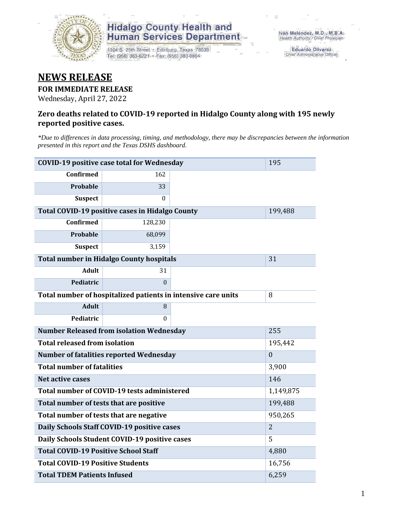

1304 S. 25th Street · Edinburg, Texas 78539 Tel: (956) 383-6221 · Fax: (956) 383-8864

Eduardo Olivarez Chief Administrative Officer

### **NEWS RELEASE**

**FOR IMMEDIATE RELEASE**

Wednesday, April 27, 2022

#### **Zero deaths related to COVID-19 reported in Hidalgo County along with 195 newly reported positive cases.**

*\*Due to differences in data processing, timing, and methodology, there may be discrepancies between the information presented in this report and the Texas DSHS dashboard.*

| <b>COVID-19 positive case total for Wednesday</b>             | 195              |         |  |
|---------------------------------------------------------------|------------------|---------|--|
| <b>Confirmed</b>                                              | 162              |         |  |
| Probable                                                      | 33               |         |  |
| <b>Suspect</b>                                                | $\Omega$         |         |  |
| Total COVID-19 positive cases in Hidalgo County               |                  | 199,488 |  |
| <b>Confirmed</b>                                              | 128,230          |         |  |
| Probable                                                      | 68,099           |         |  |
| <b>Suspect</b>                                                | 3,159            |         |  |
| <b>Total number in Hidalgo County hospitals</b>               |                  | 31      |  |
| <b>Adult</b>                                                  | 31               |         |  |
| Pediatric                                                     | $\theta$         |         |  |
| Total number of hospitalized patients in intensive care units | 8                |         |  |
| <b>Adult</b>                                                  | 8                |         |  |
| Pediatric                                                     | $\theta$         |         |  |
| <b>Number Released from isolation Wednesday</b>               | 255              |         |  |
| <b>Total released from isolation</b>                          | 195,442          |         |  |
| Number of fatalities reported Wednesday                       | $\boldsymbol{0}$ |         |  |
| <b>Total number of fatalities</b>                             | 3,900            |         |  |
| Net active cases                                              | 146              |         |  |
| Total number of COVID-19 tests administered                   | 1,149,875        |         |  |
| Total number of tests that are positive                       | 199,488          |         |  |
| Total number of tests that are negative                       | 950,265          |         |  |
| Daily Schools Staff COVID-19 positive cases                   | $\overline{2}$   |         |  |
| Daily Schools Student COVID-19 positive cases                 | 5                |         |  |
| <b>Total COVID-19 Positive School Staff</b>                   | 4,880            |         |  |
| <b>Total COVID-19 Positive Students</b>                       | 16,756           |         |  |
| <b>Total TDEM Patients Infused</b>                            | 6,259            |         |  |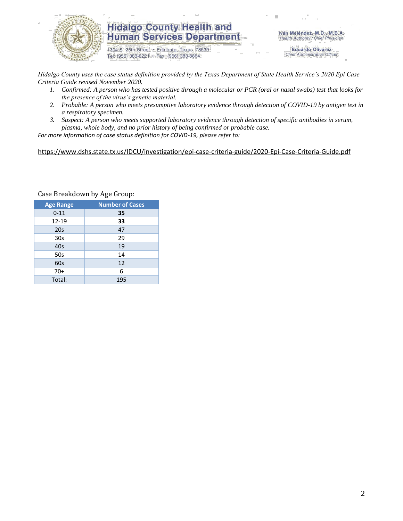

1304 S. 25th Street · Edinburg, Texas 78539 Tel: (956) 383-6221 · Fax: (956) 383-8864

Iván Meléndez, M.D., M.B.A. Health Authority / Chief Physician

> **Eduardo Olivarez** Chief Administrative Officer

*Hidalgo County uses the case status definition provided by the Texas Department of State Health Service's 2020 Epi Case Criteria Guide revised November 2020.*

- *1. Confirmed: A person who has tested positive through a molecular or PCR (oral or nasal swabs) test that looks for the presence of the virus's genetic material.*
- *2. Probable: A person who meets presumptive laboratory evidence through detection of COVID-19 by antigen test in a respiratory specimen.*
- *3. Suspect: A person who meets supported laboratory evidence through detection of specific antibodies in serum, plasma, whole body, and no prior history of being confirmed or probable case.*

*For more information of case status definition for COVID-19, please refer to:*

<https://www.dshs.state.tx.us/IDCU/investigation/epi-case-criteria-guide/2020-Epi-Case-Criteria-Guide.pdf>

| <b>Age Range</b> | <b>Number of Cases</b> |
|------------------|------------------------|
| $0 - 11$         | 35                     |
| 12-19            | 33                     |
| 20 <sub>s</sub>  | 47                     |
| 30s              | 29                     |
| 40s              | 19                     |
| 50s              | 14                     |
| 60s              | 12                     |
| $70+$            | 6                      |
| Total:           | 195                    |

Case Breakdown by Age Group: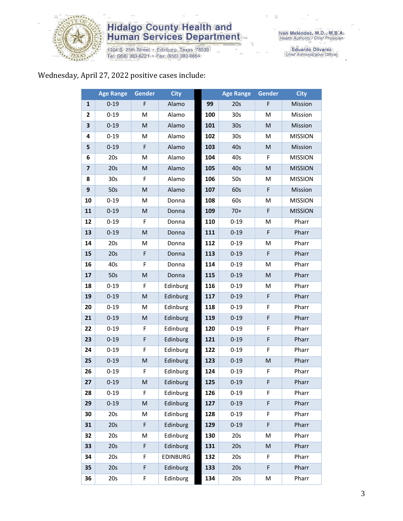

1304 S. 25th Street • Edinburg, Texas 78539<br>Tel: (956) 383-6221 • Fax: (956) 383-8864

Eduardo Olivarez<br>Chief Administrative Officer

#### Wednesday, April 27, 2022 positive cases include:

|                         | <b>Age Range</b> | Gender                                                                                                     | <b>City</b>     |     | <b>Age Range</b> | Gender                                                                                                     | <b>City</b>    |
|-------------------------|------------------|------------------------------------------------------------------------------------------------------------|-----------------|-----|------------------|------------------------------------------------------------------------------------------------------------|----------------|
| $\mathbf{1}$            | $0 - 19$         | F                                                                                                          | Alamo           | 99  | 20s              | F                                                                                                          | Mission        |
| 2                       | $0 - 19$         | M                                                                                                          | Alamo           | 100 | 30 <sub>s</sub>  | M                                                                                                          | Mission        |
| 3                       | $0 - 19$         | M                                                                                                          | Alamo           | 101 | 30 <sub>s</sub>  | M                                                                                                          | Mission        |
| 4                       | $0 - 19$         | M                                                                                                          | Alamo           | 102 | 30 <sub>s</sub>  | M                                                                                                          | <b>MISSION</b> |
| 5                       | $0 - 19$         | F                                                                                                          | Alamo           | 103 | 40s              | M                                                                                                          | Mission        |
| 6                       | 20s              | M                                                                                                          | Alamo           | 104 | 40s              | F                                                                                                          | <b>MISSION</b> |
| $\overline{\mathbf{z}}$ | 20s              | M                                                                                                          | Alamo           | 105 | 40s              | $\mathsf{M}% _{T}=\mathsf{M}_{T}\!\left( a,b\right) ,\ \mathsf{M}_{T}=\mathsf{M}_{T}\!\left( a,b\right) ,$ | <b>MISSION</b> |
| 8                       | 30 <sub>s</sub>  | F                                                                                                          | Alamo           | 106 | 50s              | Μ                                                                                                          | <b>MISSION</b> |
| 9                       | 50s              | $\mathsf{M}% _{T}=\mathsf{M}_{T}\!\left( a,b\right) ,\ \mathsf{M}_{T}=\mathsf{M}_{T}\!\left( a,b\right) ,$ | Alamo           | 107 | 60s              | F                                                                                                          | Mission        |
| 10                      | $0 - 19$         | M                                                                                                          | Donna           | 108 | 60s              | М                                                                                                          | <b>MISSION</b> |
| 11                      | $0 - 19$         | M                                                                                                          | Donna           | 109 | $70+$            | F                                                                                                          | <b>MISSION</b> |
| 12                      | $0 - 19$         | F                                                                                                          | Donna           | 110 | $0 - 19$         | M                                                                                                          | Pharr          |
| 13                      | $0 - 19$         | $\mathsf{M}% _{T}=\mathsf{M}_{T}\!\left( a,b\right) ,\ \mathsf{M}_{T}=\mathsf{M}_{T}\!\left( a,b\right) ,$ | Donna           | 111 | $0 - 19$         | $\mathsf F$                                                                                                | Pharr          |
| 14                      | 20s              | М                                                                                                          | Donna           | 112 | $0 - 19$         | М                                                                                                          | Pharr          |
| 15                      | 20s              | $\mathsf F$                                                                                                | Donna           | 113 | $0 - 19$         | $\mathsf F$                                                                                                | Pharr          |
| 16                      | 40s              | F                                                                                                          | Donna           | 114 | $0 - 19$         | M                                                                                                          | Pharr          |
| 17                      | 50s              | M                                                                                                          | Donna           | 115 | $0 - 19$         | M                                                                                                          | Pharr          |
| 18                      | $0 - 19$         | F                                                                                                          | Edinburg        | 116 | $0 - 19$         | M                                                                                                          | Pharr          |
| 19                      | $0 - 19$         | M                                                                                                          | Edinburg        | 117 | $0 - 19$         | F                                                                                                          | Pharr          |
| 20                      | $0 - 19$         | М                                                                                                          | Edinburg        | 118 | $0 - 19$         | F                                                                                                          | Pharr          |
| 21                      | $0 - 19$         | M                                                                                                          | Edinburg        | 119 | $0 - 19$         | F                                                                                                          | Pharr          |
| 22                      | $0 - 19$         | F                                                                                                          | Edinburg        | 120 | $0 - 19$         | F                                                                                                          | Pharr          |
| 23                      | $0 - 19$         | F                                                                                                          | Edinburg        | 121 | $0 - 19$         | F                                                                                                          | Pharr          |
| 24                      | $0 - 19$         | F                                                                                                          | Edinburg        | 122 | $0 - 19$         | F                                                                                                          | Pharr          |
| 25                      | $0 - 19$         | M                                                                                                          | Edinburg        | 123 | $0 - 19$         | M                                                                                                          | Pharr          |
| 26                      | $0 - 19$         | F                                                                                                          | Edinburg        | 124 | $0 - 19$         | F                                                                                                          | Pharr          |
| 27                      | $0 - 19$         | M                                                                                                          | Edinburg        | 125 | $0 - 19$         | F                                                                                                          | Pharr          |
| 28                      | $0 - 19$         | F.                                                                                                         | Edinburg        | 126 | $0 - 19$         | F                                                                                                          | Pharr          |
| 29                      | $0 - 19$         | M                                                                                                          | Edinburg        | 127 | $0 - 19$         | F                                                                                                          | Pharr          |
| 30                      | 20s              | M                                                                                                          | Edinburg        | 128 | $0 - 19$         | F                                                                                                          | Pharr          |
| 31                      | 20s              | $\mathsf F$                                                                                                | Edinburg        | 129 | $0 - 19$         | F                                                                                                          | Pharr          |
| 32                      | 20s              | Μ                                                                                                          | Edinburg        | 130 | 20s              | Μ                                                                                                          | Pharr          |
| 33                      | 20s              | F                                                                                                          | Edinburg        | 131 | 20s              | M                                                                                                          | Pharr          |
| 34                      | 20s              | F                                                                                                          | <b>EDINBURG</b> | 132 | 20s              | F                                                                                                          | Pharr          |
| 35                      | 20s              | F                                                                                                          | Edinburg        | 133 | 20s              | F                                                                                                          | Pharr          |
| 36                      | 20s              | F                                                                                                          | Edinburg        | 134 | 20s              | М                                                                                                          | Pharr          |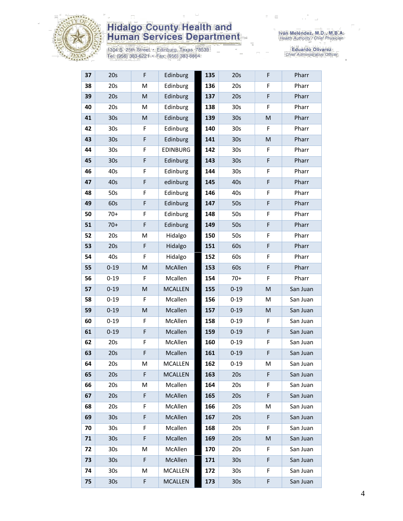

1304 S. 25th Street • Edinburg, Texas 78539<br>Tel: (956) 383-6221 • Fax: (956) 383-8864

Eduardo Olivarez<br>Chief Administrative Officer

| 37 | 20s             | F         | Edinburg       | 135 | 20s             | F | Pharr    |
|----|-----------------|-----------|----------------|-----|-----------------|---|----------|
| 38 | 20s             | M         | Edinburg       | 136 | 20s             | F | Pharr    |
| 39 | 20s             | M         | Edinburg       | 137 | 20s             | F | Pharr    |
| 40 | 20s             | M         | Edinburg       | 138 | 30 <sub>s</sub> | F | Pharr    |
| 41 | 30 <sub>s</sub> | ${\sf M}$ | Edinburg       | 139 | 30 <sub>s</sub> | M | Pharr    |
| 42 | 30 <sub>s</sub> | F         | Edinburg       | 140 | 30 <sub>s</sub> | F | Pharr    |
| 43 | 30 <sub>s</sub> | F         | Edinburg       | 141 | 30 <sub>s</sub> | M | Pharr    |
| 44 | 30 <sub>s</sub> | F         | EDINBURG       | 142 | 30 <sub>s</sub> | F | Pharr    |
| 45 | 30s             | F         | Edinburg       | 143 | 30s             | F | Pharr    |
| 46 | 40s             | F         | Edinburg       | 144 | 30 <sub>s</sub> | F | Pharr    |
| 47 | 40s             | F         | edinburg       | 145 | 40s             | F | Pharr    |
| 48 | 50s             | F         | Edinburg       | 146 | 40s             | F | Pharr    |
| 49 | 60s             | F         | Edinburg       | 147 | 50s             | F | Pharr    |
| 50 | $70+$           | F         | Edinburg       | 148 | 50s             | F | Pharr    |
| 51 | $70+$           | F         | Edinburg       | 149 | 50s             | F | Pharr    |
| 52 | 20s             | M         | Hidalgo        | 150 | 50s             | F | Pharr    |
| 53 | 20s             | F         | Hidalgo        | 151 | 60s             | F | Pharr    |
| 54 | 40s             | F         | Hidalgo        | 152 | 60s             | F | Pharr    |
| 55 | $0 - 19$        | M         | McAllen        | 153 | 60s             | F | Pharr    |
| 56 | $0 - 19$        | F         | Mcallen        | 154 | $70+$           | F | Pharr    |
| 57 | $0 - 19$        | M         | <b>MCALLEN</b> | 155 | $0 - 19$        | M | San Juan |
| 58 | $0 - 19$        | F         | Mcallen        | 156 | $0 - 19$        | M | San Juan |
| 59 | $0 - 19$        | M         | Mcallen        | 157 | $0 - 19$        | M | San Juan |
| 60 | $0 - 19$        | F         | McAllen        | 158 | $0 - 19$        | F | San Juan |
| 61 | $0 - 19$        | F         | Mcallen        | 159 | $0 - 19$        | F | San Juan |
| 62 | 20s             | F         | McAllen        | 160 | $0 - 19$        | F | San Juan |
| 63 | 20s             | F         | Mcallen        | 161 | $0 - 19$        | F | San Juan |
| 64 | 20s             | M         | MCALLEN        | 162 | $0 - 19$        | Μ | San Juan |
| 65 | 20s             | F         | <b>MCALLEN</b> | 163 | 20s             | F | San Juan |
| 66 | 20s             | M         | Mcallen        | 164 | 20s             | F | San Juan |
| 67 | 20s             | F         | McAllen        | 165 | 20s             | F | San Juan |
| 68 | 20s             | F         | McAllen        | 166 | 20s             | M | San Juan |
| 69 | 30 <sub>s</sub> | F         | McAllen        | 167 | 20s             | F | San Juan |
| 70 | 30 <sub>s</sub> | F         | Mcallen        | 168 | 20s             | F | San Juan |
| 71 | 30 <sub>s</sub> | F         | Mcallen        | 169 | 20s             | M | San Juan |
| 72 | 30 <sub>s</sub> | M         | McAllen        | 170 | 20s             | F | San Juan |
| 73 | 30 <sub>s</sub> | F         | McAllen        | 171 | 30 <sub>s</sub> | F | San Juan |
| 74 | 30 <sub>s</sub> | М         | <b>MCALLEN</b> | 172 | 30 <sub>s</sub> | F | San Juan |
| 75 | 30 <sub>s</sub> | F         | <b>MCALLEN</b> | 173 | 30 <sub>s</sub> | F | San Juan |